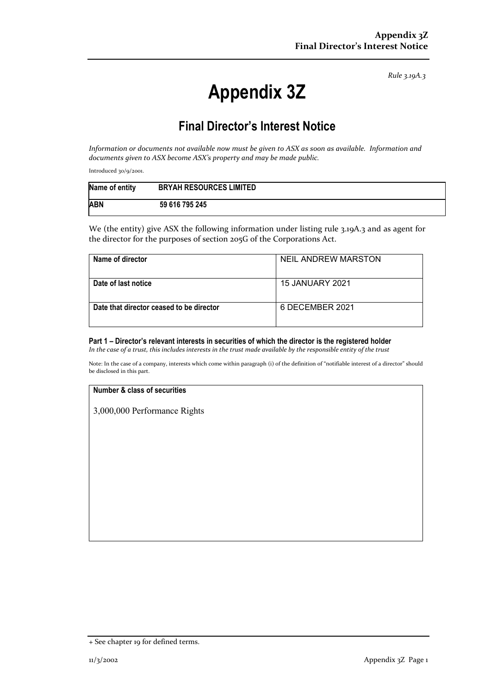*Rule 3.19A.3*

# **Appendix 3Z**

# **Final Director's Interest Notice**

*Information or documents not available now must be given to ASX as soon as available. Information and documents given to ASX become ASX's property and may be made public.*

Introduced 30/9/2001.

| Name of entity | <b>BRYAH RESOURCES LIMITED</b> |
|----------------|--------------------------------|
| <b>ABN</b>     | 59 616 795 245                 |

We (the entity) give ASX the following information under listing rule 3.19A.3 and as agent for the director for the purposes of section 205G of the Corporations Act.

| Name of director                         | NEIL ANDREW MARSTON |
|------------------------------------------|---------------------|
| Date of last notice                      | 15 JANUARY 2021     |
| Date that director ceased to be director | 6 DECEMBER 2021     |

### **Part 1 – Director's relevant interests in securities of which the director is the registered holder**

*In the case of a trust, this includes interests in the trust made available by the responsible entity of the trust*

Note: In the case of a company, interests which come within paragraph (i) of the definition of "notifiable interest of a director" should be disclosed in this part.

#### **Number & class of securities**

3,000,000 Performance Rights

<sup>+</sup> See chapter 19 for defined terms.